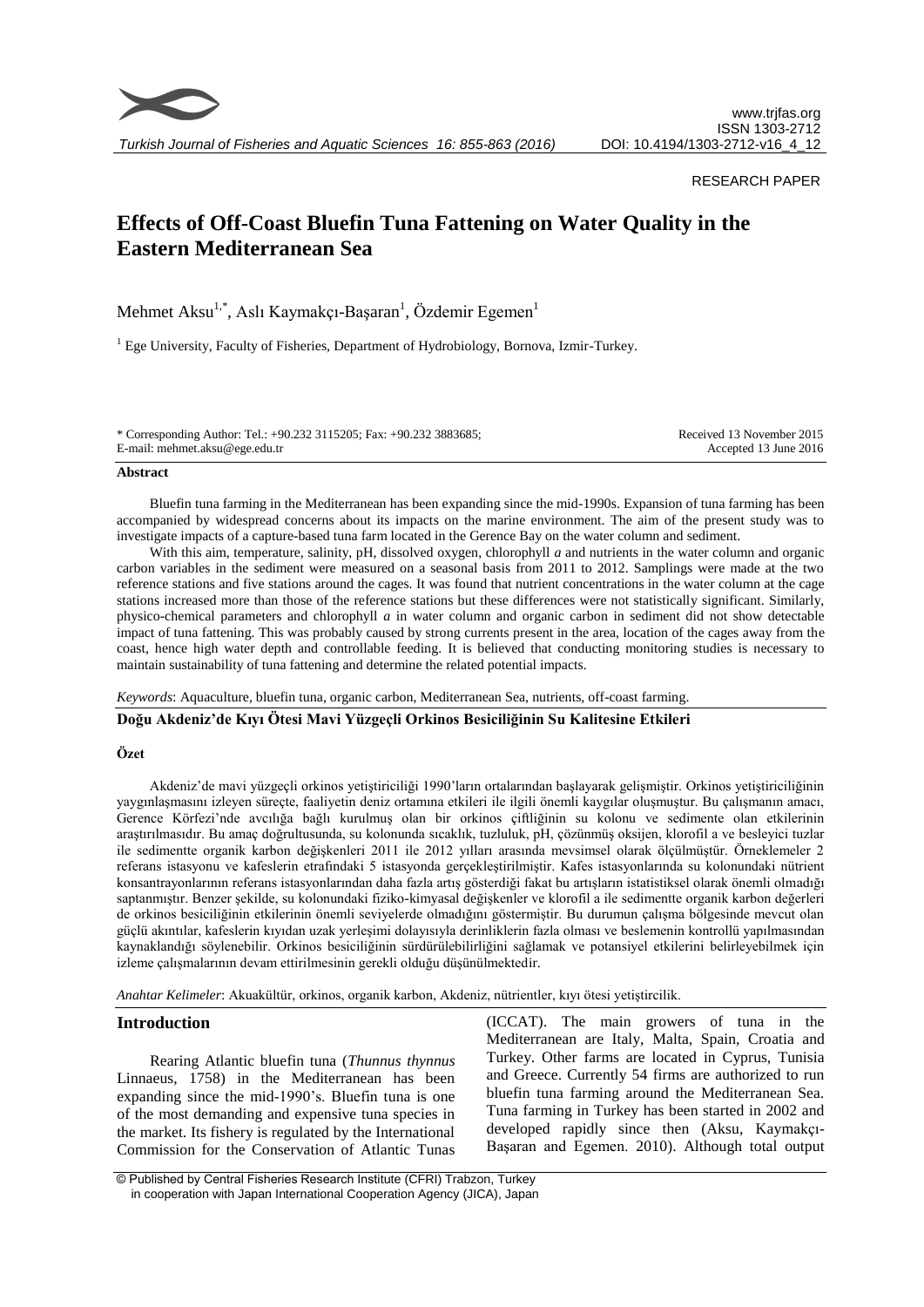

*Turkish Journal of Fisheries and Aquatic Sciences 16: 855-863 (2016)*

# RESEARCH PAPER

# **Effects of Off-Coast Bluefin Tuna Fattening on Water Quality in the Eastern Mediterranean Sea**

Mehmet Aksu<sup>1,\*</sup>, Aslı Kaymakçı-Başaran<sup>1</sup>, Özdemir Egemen<sup>1</sup>

 $<sup>1</sup>$  Ege University, Faculty of Fisheries, Department of Hydrobiology, Bornova, Izmir-Turkey.</sup>

\* Corresponding Author: Tel.: +90.232 3115205; Fax: +90.232 3883685; E-mail: mehmet.aksu@ege.edu.tr

Received 13 November 2015 Accepted 13 June 2016

#### **Abstract**

Bluefin tuna farming in the Mediterranean has been expanding since the mid-1990s. Expansion of tuna farming has been accompanied by widespread concerns about its impacts on the marine environment. The aim of the present study was to investigate impacts of a capture-based tuna farm located in the Gerence Bay on the water column and sediment.

With this aim, temperature, salinity, pH, dissolved oxygen, chlorophyll *a* and nutrients in the water column and organic carbon variables in the sediment were measured on a seasonal basis from 2011 to 2012. Samplings were made at the two reference stations and five stations around the cages. It was found that nutrient concentrations in the water column at the cage stations increased more than those of the reference stations but these differences were not statistically significant. Similarly, physico-chemical parameters and chlorophyll *a* in water column and organic carbon in sediment did not show detectable impact of tuna fattening. This was probably caused by strong currents present in the area, location of the cages away from the coast, hence high water depth and controllable feeding. It is believed that conducting monitoring studies is necessary to maintain sustainability of tuna fattening and determine the related potential impacts.

*Keywords*: Aquaculture, bluefin tuna, organic carbon, Mediterranean Sea, nutrients, off-coast farming.

**Doğu Akdeniz'de Kıyı Ötesi Mavi Yüzgeçli Orkinos Besiciliğinin Su Kalitesine Etkileri**

# **Özet**

Akdeniz'de mavi yüzgeçli orkinos yetiştiriciliği 1990'ların ortalarından başlayarak gelişmiştir. Orkinos yetiştiriciliğinin yaygınlaşmasını izleyen süreçte, faaliyetin deniz ortamına etkileri ile ilgili önemli kaygılar oluşmuştur. Bu çalışmanın amacı, Gerence Körfezi'nde avcılığa bağlı kurulmuş olan bir orkinos çiftliğinin su kolonu ve sedimente olan etkilerinin araştırılmasıdır. Bu amaç doğrultusunda, su kolonunda sıcaklık, tuzluluk, pH, çözünmüş oksijen, klorofil a ve besleyici tuzlar ile sedimentte organik karbon değişkenleri 2011 ile 2012 yılları arasında mevsimsel olarak ölçülmüştür. Örneklemeler 2 referans istasyonu ve kafeslerin etrafındaki 5 istasyonda gerçekleştirilmiştir. Kafes istasyonlarında su kolonundaki nütrient konsantrayonlarının referans istasyonlarından daha fazla artış gösterdiği fakat bu artışların istatistiksel olarak önemli olmadığı saptanmıştır. Benzer şekilde, su kolonundaki fiziko-kimyasal değişkenler ve klorofil a ile sedimentte organik karbon değerleri de orkinos besiciliğinin etkilerinin önemli seviyelerde olmadığını göstermiştir. Bu durumun çalışma bölgesinde mevcut olan güçlü akıntılar, kafeslerin kıyıdan uzak yerleşimi dolayısıyla derinliklerin fazla olması ve beslemenin kontrollü yapılmasından kaynaklandığı söylenebilir. Orkinos besiciliğinin sürdürülebilirliğini sağlamak ve potansiyel etkilerini belirleyebilmek için izleme çalışmalarının devam ettirilmesinin gerekli olduğu düşünülmektedir.

*Anahtar Kelimeler*: Akuakültür, orkinos, organik karbon, Akdeniz, nütrientler, kıyı ötesi yetiştircilik.

# **Introduction**

Rearing Atlantic bluefin tuna (*Thunnus thynnus*  Linnaeus, 1758) in the Mediterranean has been expanding since the mid-1990's. Bluefin tuna is one of the most demanding and expensive tuna species in the market. Its fishery is regulated by the International Commission for the Conservation of Atlantic Tunas (ICCAT). The main growers of tuna in the Mediterranean are Italy, Malta, Spain, Croatia and Turkey. Other farms are located in Cyprus, Tunisia and Greece. Currently 54 firms are authorized to run bluefin tuna farming around the Mediterranean Sea. Tuna farming in Turkey has been started in 2002 and developed rapidly since then (Aksu, Kaymakçı-Başaran and Egemen. 2010). Although total output

© Published by Central Fisheries Research Institute (CFRI) Trabzon, Turkey in cooperation with Japan International Cooperation Agency (JICA), Japan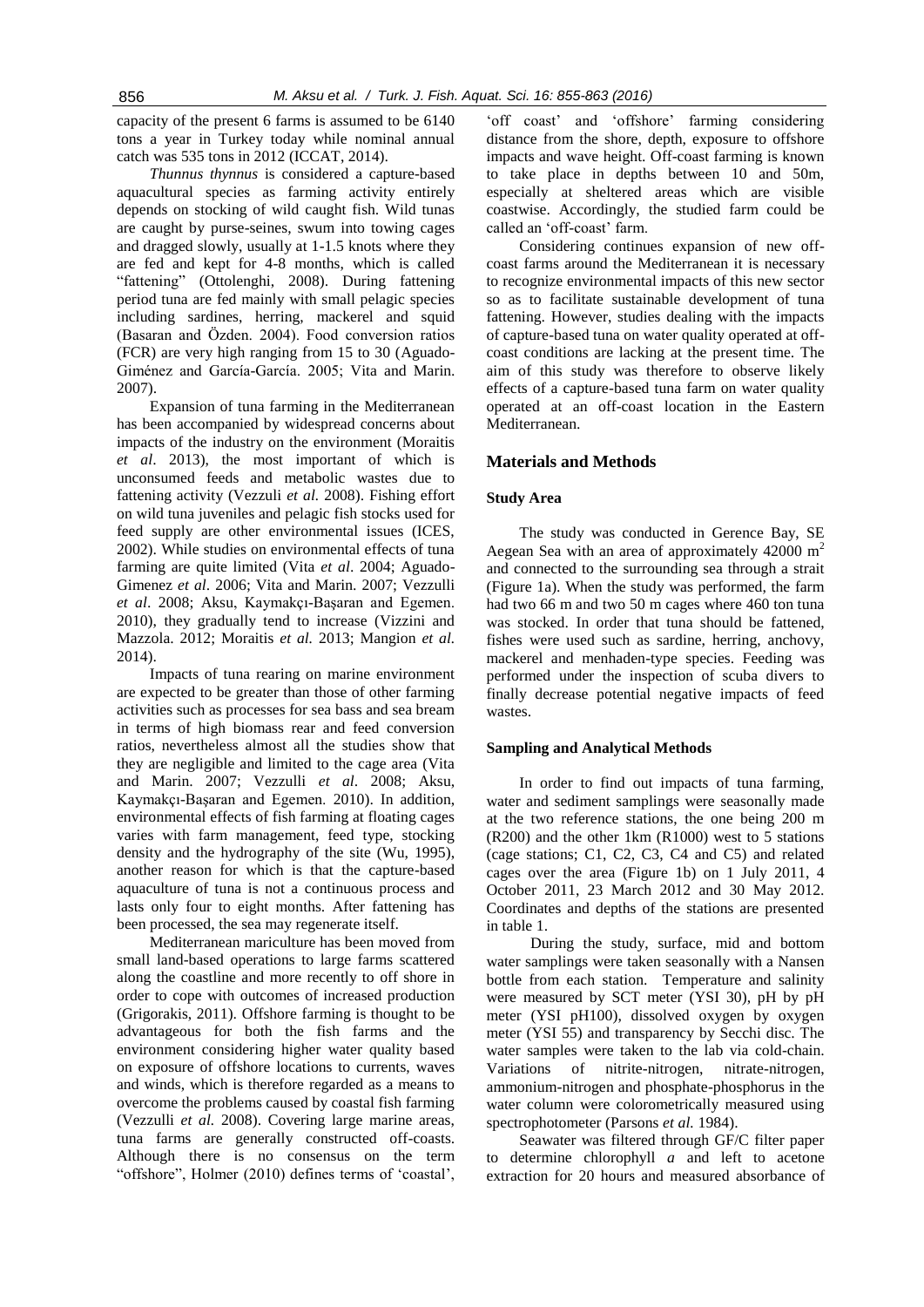capacity of the present 6 farms is assumed to be 6140 tons a year in Turkey today while nominal annual catch was 535 tons in 2012 (ICCAT, 2014).

*Thunnus thynnus* is considered a capture-based aquacultural species as farming activity entirely depends on stocking of wild caught fish. Wild tunas are caught by purse-seines, swum into towing cages and dragged slowly, usually at 1-1.5 knots where they are fed and kept for 4-8 months, which is called "fattening" (Ottolenghi, 2008). During fattening period tuna are fed mainly with small pelagic species including sardines, herring, mackerel and squid (Basaran and Özden. 2004). Food conversion ratios (FCR) are very high ranging from 15 to 30 (Aguado-Giménez and García-García. 2005; Vita and Marin. 2007).

Expansion of tuna farming in the Mediterranean has been accompanied by widespread concerns about impacts of the industry on the environment (Moraitis *et al*. 2013), the most important of which is unconsumed feeds and metabolic wastes due to fattening activity (Vezzuli *et al.* 2008). Fishing effort on wild tuna juveniles and pelagic fish stocks used for feed supply are other environmental issues (ICES, 2002). While studies on environmental effects of tuna farming are quite limited (Vita *et al*. 2004; Aguado-Gimenez *et al*. 2006; Vita and Marin. 2007; Vezzulli *et al*. 2008; Aksu, Kaymakçı-Başaran and Egemen. 2010), they gradually tend to increase (Vizzini and Mazzola. 2012; Moraitis *et al.* 2013; Mangion *et al.*  2014).

Impacts of tuna rearing on marine environment are expected to be greater than those of other farming activities such as processes for sea bass and sea bream in terms of high biomass rear and feed conversion ratios, nevertheless almost all the studies show that they are negligible and limited to the cage area (Vita and Marin. 2007; Vezzulli *et al*. 2008; Aksu, Kaymakçı-Başaran and Egemen. 2010). In addition, environmental effects of fish farming at floating cages varies with farm management, feed type, stocking density and the hydrography of the site (Wu, 1995), another reason for which is that the capture-based aquaculture of tuna is not a continuous process and lasts only four to eight months. After fattening has been processed, the sea may regenerate itself.

Mediterranean mariculture has been moved from small land-based operations to large farms scattered along the coastline and more recently to off shore in order to cope with outcomes of increased production (Grigorakis, 2011). Offshore farming is thought to be advantageous for both the fish farms and the environment considering higher water quality based on exposure of offshore locations to currents, waves and winds, which is therefore regarded as a means to overcome the problems caused by coastal fish farming (Vezzulli *et al.* 2008). Covering large marine areas, tuna farms are generally constructed off-coasts. Although there is no consensus on the term "offshore", Holmer (2010) defines terms of 'coastal',

'off coast' and 'offshore' farming considering distance from the shore, depth, exposure to offshore impacts and wave height. Off-coast farming is known to take place in depths between 10 and 50m, especially at sheltered areas which are visible coastwise. Accordingly, the studied farm could be called an 'off-coast' farm.

Considering continues expansion of new offcoast farms around the Mediterranean it is necessary to recognize environmental impacts of this new sector so as to facilitate sustainable development of tuna fattening. However, studies dealing with the impacts of capture-based tuna on water quality operated at offcoast conditions are lacking at the present time. The aim of this study was therefore to observe likely effects of a capture-based tuna farm on water quality operated at an off-coast location in the Eastern Mediterranean.

# **Materials and Methods**

## **Study Area**

The study was conducted in Gerence Bay, SE Aegean Sea with an area of approximately  $42000 \text{ m}^2$ and connected to the surrounding sea through a strait (Figure 1a). When the study was performed, the farm had two 66 m and two 50 m cages where 460 ton tuna was stocked. In order that tuna should be fattened, fishes were used such as sardine, herring, anchovy, mackerel and menhaden-type species. Feeding was performed under the inspection of scuba divers to finally decrease potential negative impacts of feed wastes.

# **Sampling and Analytical Methods**

In order to find out impacts of tuna farming, water and sediment samplings were seasonally made at the two reference stations, the one being 200 m (R200) and the other 1km (R1000) west to 5 stations (cage stations; C1, C2, C3, C4 and C5) and related cages over the area (Figure 1b) on 1 July 2011, 4 October 2011, 23 March 2012 and 30 May 2012. Coordinates and depths of the stations are presented in table 1.

During the study, surface, mid and bottom water samplings were taken seasonally with a Nansen bottle from each station. Temperature and salinity were measured by SCT meter (YSI 30), pH by pH meter (YSI pH100), dissolved oxygen by oxygen meter (YSI 55) and transparency by Secchi disc. The water samples were taken to the lab via cold-chain. Variations of nitrite-nitrogen, nitrate-nitrogen, ammonium-nitrogen and phosphate-phosphorus in the water column were colorometrically measured using spectrophotometer (Parsons *et al.* 1984).

Seawater was filtered through GF/C filter paper determine chlorophyll  $a$  and left to acetone extraction for 20 hours and measured absorbance of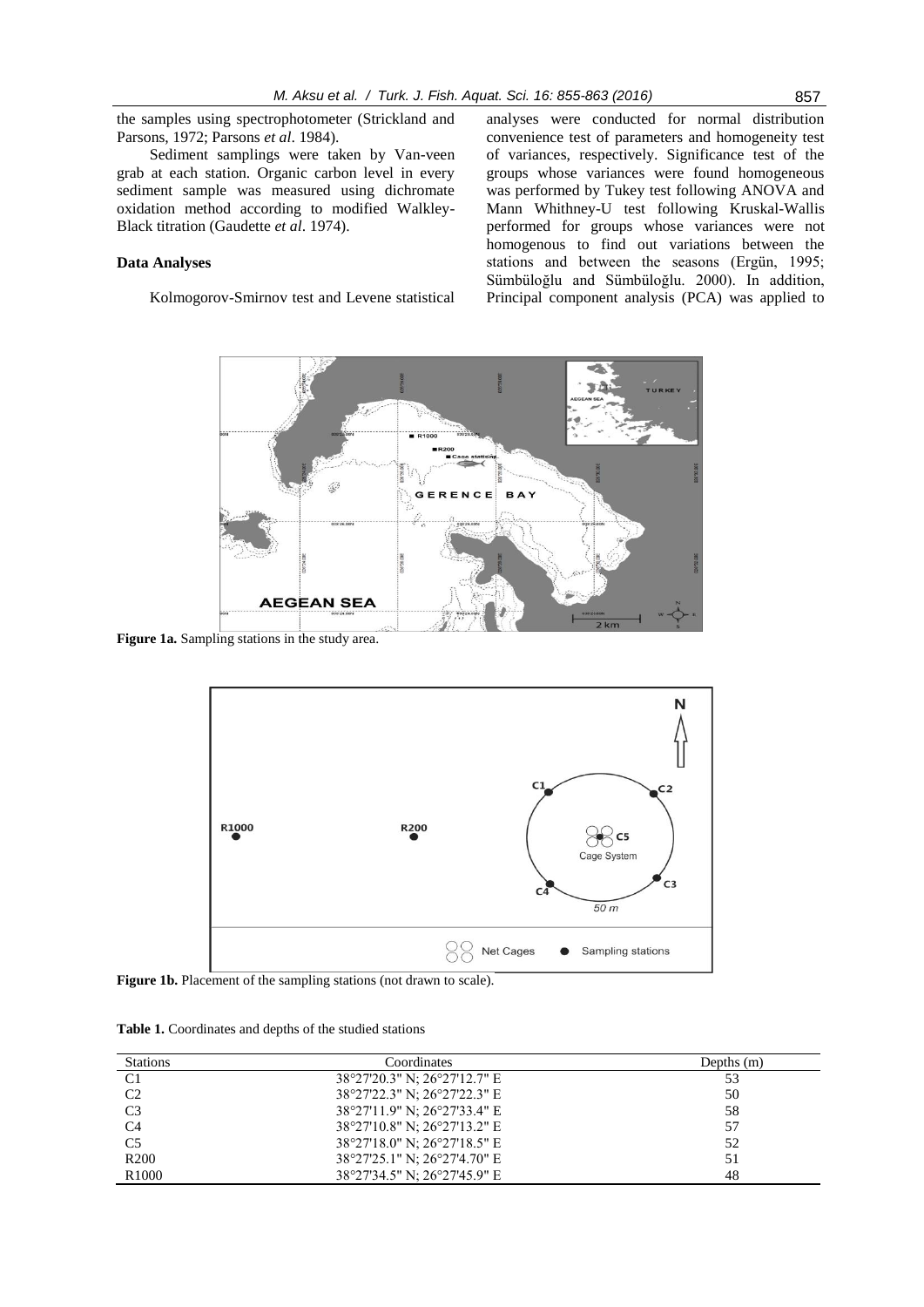the samples using spectrophotometer (Strickland and Parsons, 1972; Parsons *et al*. 1984).

Sediment samplings were taken by Van-veen grab at each station. Organic carbon level in every sediment sample was measured using dichromate oxidation method according to modified Walkley-Black titration (Gaudette *et al*. 1974).

# **Data Analyses**

Kolmogorov-Smirnov test and Levene statistical

analyses were conducted for normal distribution convenience test of parameters and homogeneity test of variances, respectively. Significance test of the groups whose variances were found homogeneous was performed by Tukey test following ANOVA and Mann Whithney-U test following Kruskal-Wallis performed for groups whose variances were not homogenous to find out variations between the stations and between the seasons (Ergün, 1995; Sümbüloğlu and Sümbüloğlu. 2000). In addition, Principal component analysis (PCA) was applied to



Figure 1a. Sampling stations in the study area.



Figure 1b. Placement of the sampling stations (not drawn to scale).

**Table 1.** Coordinates and depths of the studied stations

| <b>Stations</b>   | Coordinates                  | Depths $(m)$ |
|-------------------|------------------------------|--------------|
| C <sub>1</sub>    | 38°27'20.3" N: 26°27'12.7" E | 53           |
| C <sub>2</sub>    | 38°27'22.3" N: 26°27'22.3" E | 50           |
| C <sub>3</sub>    | 38°27'11.9" N: 26°27'33.4" E | 58           |
| C <sub>4</sub>    | 38°27'10.8" N: 26°27'13.2" E | 57           |
| C <sub>5</sub>    | 38°27'18.0" N: 26°27'18.5" E | 52           |
| R <sub>200</sub>  | 38°27'25.1" N; 26°27'4.70" E | 51           |
| R <sub>1000</sub> | 38°27'34.5" N; 26°27'45.9" E | 48           |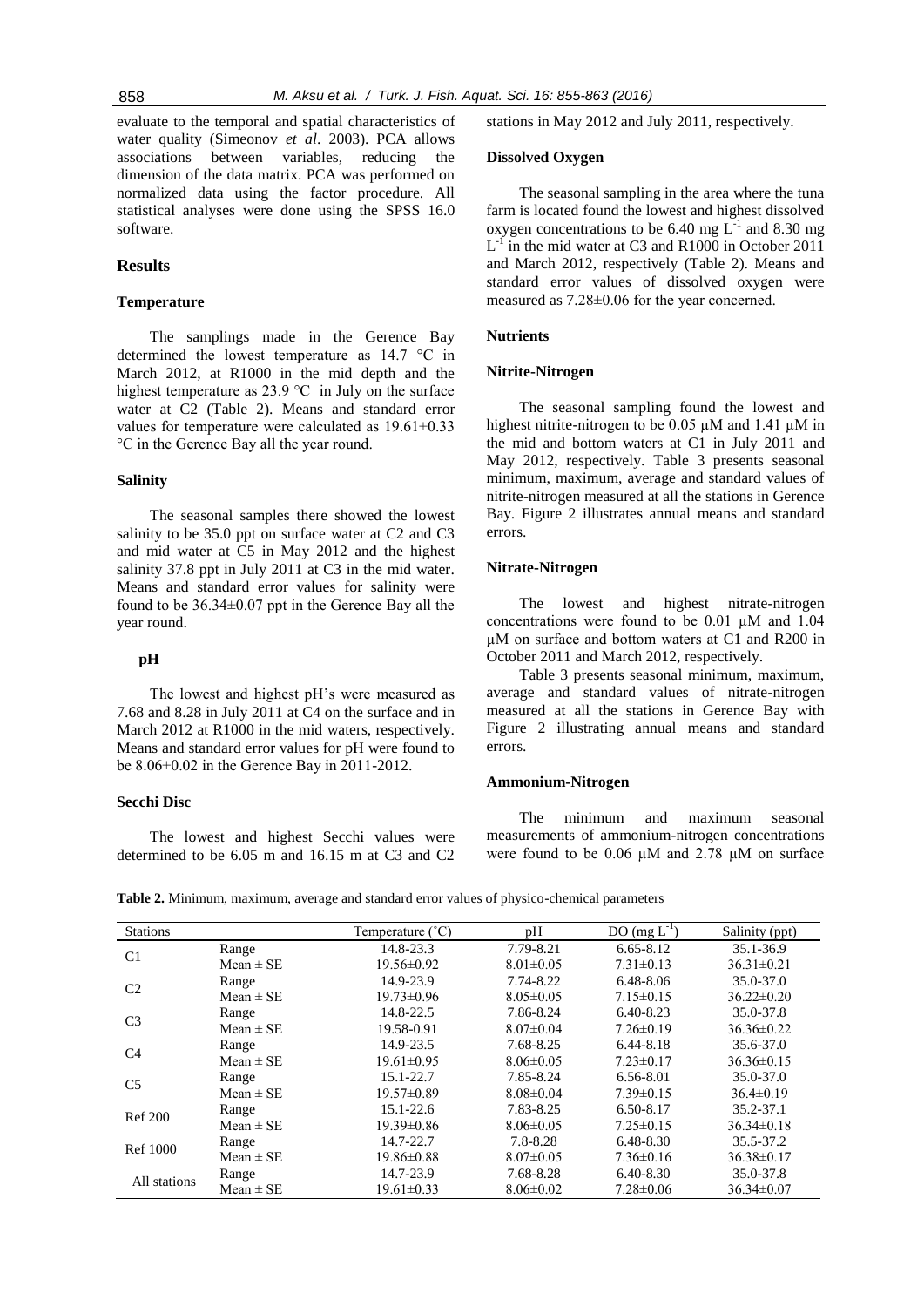evaluate to the temporal and spatial characteristics of water quality (Simeonov *et al*. 2003). PCA allows associations between variables, reducing the dimension of the data matrix. PCA was performed on normalized data using the factor procedure. All statistical analyses were done using the SPSS 16.0 software.

## **Results**

# **Temperature**

The samplings made in the Gerence Bay determined the lowest temperature as 14.7 °C in March 2012, at R1000 in the mid depth and the highest temperature as 23.9 °C in July on the surface water at C2 (Table 2). Means and standard error values for temperature were calculated as  $19.61\pm0.33$ °C in the Gerence Bay all the year round.

#### **Salinity**

The seasonal samples there showed the lowest salinity to be 35.0 ppt on surface water at C2 and C3 and mid water at C5 in May 2012 and the highest salinity 37.8 ppt in July 2011 at C3 in the mid water. Means and standard error values for salinity were found to be 36.34±0.07 ppt in the Gerence Bay all the year round.

### **pH**

The lowest and highest pH's were measured as 7.68 and 8.28 in July 2011 at C4 on the surface and in March 2012 at R1000 in the mid waters, respectively. Means and standard error values for pH were found to be 8.06±0.02 in the Gerence Bay in 2011-2012.

## **Secchi Disc**

The lowest and highest Secchi values were determined to be 6.05 m and 16.15 m at C3 and C2 stations in May 2012 and July 2011, respectively.

## **Dissolved Oxygen**

The seasonal sampling in the area where the tuna farm is located found the lowest and highest dissolved oxygen concentrations to be 6.40 mg  $\overline{L}^{-1}$  and 8.30 mg  $L^{-1}$  in the mid water at C3 and R1000 in October 2011 and March 2012, respectively (Table 2). Means and standard error values of dissolved oxygen were measured as 7.28±0.06 for the year concerned.

#### **Nutrients**

#### **Nitrite-Nitrogen**

The seasonal sampling found the lowest and highest nitrite-nitrogen to be 0.05  $\mu$ M and 1.41  $\mu$ M in the mid and bottom waters at C1 in July 2011 and May 2012, respectively. Table 3 presents seasonal minimum, maximum, average and standard values of nitrite-nitrogen measured at all the stations in Gerence Bay. Figure 2 illustrates annual means and standard errors.

## **Nitrate-Nitrogen**

The lowest and highest nitrate-nitrogen concentrations were found to be 0.01 µM and 1.04 µM on surface and bottom waters at C1 and R200 in October 2011 and March 2012, respectively.

Table 3 presents seasonal minimum, maximum, average and standard values of nitrate-nitrogen measured at all the stations in Gerence Bay with Figure 2 illustrating annual means and standard errors.

#### **Ammonium-Nitrogen**

The minimum and maximum seasonal measurements of ammonium-nitrogen concentrations were found to be 0.06 µM and 2.78 µM on surface

**Table 2.** Minimum, maximum, average and standard error values of physico-chemical parameters

| <b>Stations</b> |               | Temperature $(^{\circ}C)$ | pН              | $DO(mg L-1)$    | Salinity (ppt)   |
|-----------------|---------------|---------------------------|-----------------|-----------------|------------------|
| C <sub>1</sub>  | Range         | 14.8-23.3                 | 7.79-8.21       | $6.65 - 8.12$   | 35.1-36.9        |
|                 | $Mean \pm SE$ | $19.56 \pm 0.92$          | $8.01 \pm 0.05$ | $7.31 \pm 0.13$ | $36.31 \pm 0.21$ |
| C <sub>2</sub>  | Range         | 14.9-23.9                 | 7.74-8.22       | $6.48 - 8.06$   | 35.0-37.0        |
|                 | Mean $\pm$ SE | $19.73 \pm 0.96$          | $8.05 \pm 0.05$ | $7.15 \pm 0.15$ | $36.22 \pm 0.20$ |
| C <sub>3</sub>  | Range         | 14.8-22.5                 | 7.86-8.24       | $6.40 - 8.23$   | 35.0-37.8        |
|                 | $Mean \pm SE$ | 19.58-0.91                | $8.07 \pm 0.04$ | $7.26 \pm 0.19$ | $36.36 \pm 0.22$ |
| C <sub>4</sub>  | Range         | 14.9-23.5                 | 7.68-8.25       | $6.44 - 8.18$   | 35.6-37.0        |
|                 | $Mean \pm SE$ | $19.61 \pm 0.95$          | $8.06 \pm 0.05$ | $7.23 \pm 0.17$ | $36.36 \pm 0.15$ |
| C <sub>5</sub>  | Range         | 15.1-22.7                 | 7.85-8.24       | 6.56-8.01       | 35.0-37.0        |
|                 | Mean $\pm$ SE | 19.57±0.89                | $8.08 \pm 0.04$ | $7.39 \pm 0.15$ | $36.4 \pm 0.19$  |
| <b>Ref</b> 200  | Range         | $15.1 - 22.6$             | 7.83-8.25       | 6.50-8.17       | 35.2-37.1        |
|                 | $Mean \pm SE$ | 19.39±0.86                | $8.06 \pm 0.05$ | $7.25 \pm 0.15$ | $36.34 \pm 0.18$ |
| <b>Ref</b> 1000 | Range         | 14.7-22.7                 | 7.8-8.28        | 6.48-8.30       | 35.5-37.2        |
|                 | $Mean \pm SE$ | 19.86±0.88                | $8.07 \pm 0.05$ | $7.36 \pm 0.16$ | $36.38 \pm 0.17$ |
| All stations    | Range         | 14.7-23.9                 | 7.68-8.28       | $6.40 - 8.30$   | 35.0-37.8        |
|                 | $Mean \pm SE$ | $19.61 \pm 0.33$          | $8.06 \pm 0.02$ | $7.28 \pm 0.06$ | $36.34 \pm 0.07$ |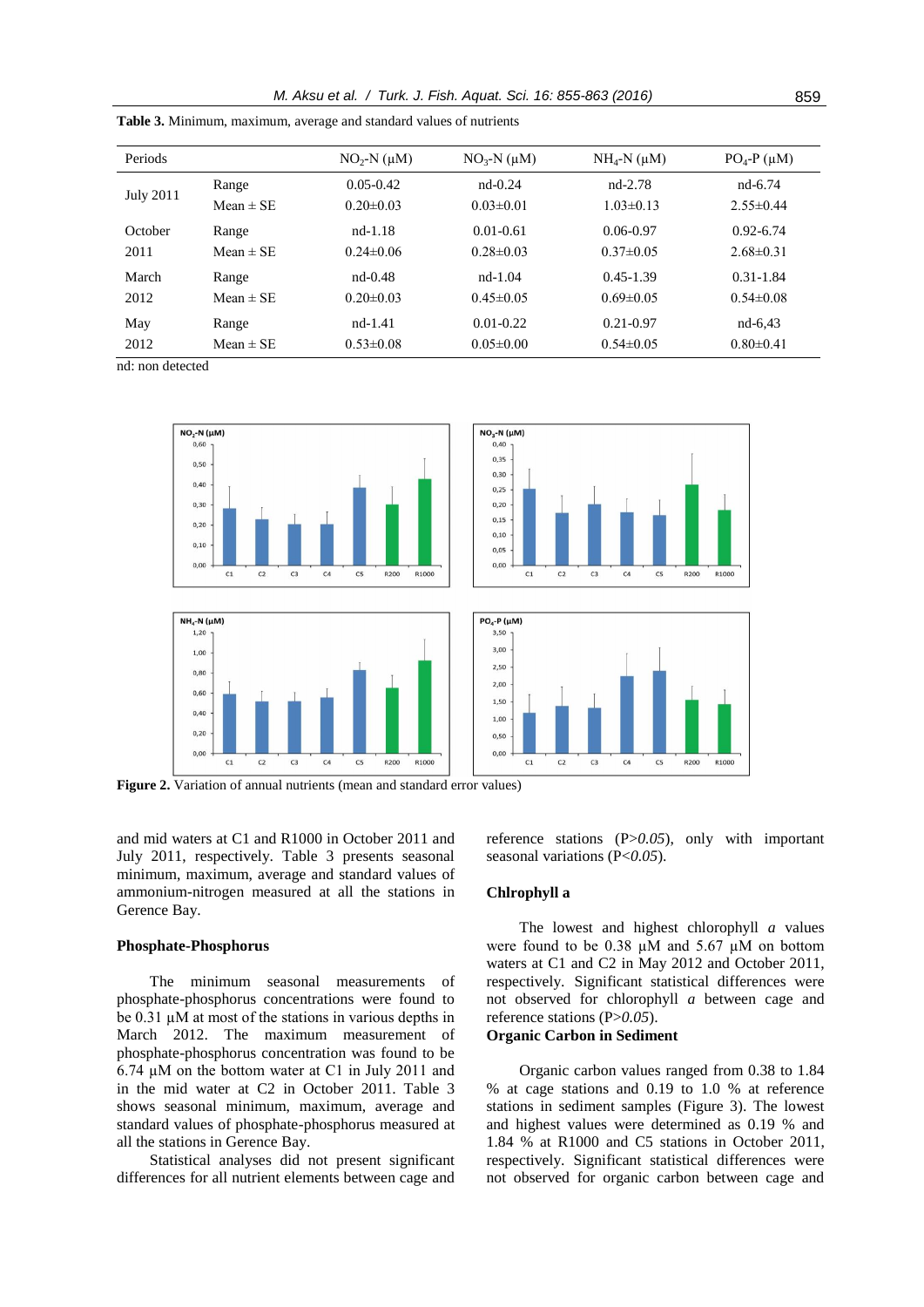| Periods          |               | $NO2-N (µM)$    | $NO3-N$ ( $\mu$ M) | $NH4-N (µM)$    | $PO4-P (µM)$    |
|------------------|---------------|-----------------|--------------------|-----------------|-----------------|
| <b>July 2011</b> | Range         | $0.05 - 0.42$   | $nd-0.24$          | $nd-2.78$       | nd-6.74         |
|                  | Mean $\pm$ SE | $0.20 \pm 0.03$ | $0.03 \pm 0.01$    | $1.03 \pm 0.13$ | $2.55 \pm 0.44$ |
| October          | Range         | $nd-1.18$       | $0.01 - 0.61$      | $0.06 - 0.97$   | $0.92 - 6.74$   |
| 2011             | Mean $\pm$ SE | $0.24 \pm 0.06$ | $0.28 \pm 0.03$    | $0.37 \pm 0.05$ | $2.68\pm0.31$   |
| March            | Range         | $nd-0.48$       | nd-1.04            | $0.45 - 1.39$   | $0.31 - 1.84$   |
| 2012             | Mean $\pm$ SE | $0.20 \pm 0.03$ | $0.45 \pm 0.05$    | $0.69 \pm 0.05$ | $0.54 \pm 0.08$ |
| May              | Range         | $nd-1.41$       | $0.01 - 0.22$      | $0.21 - 0.97$   | $nd-6.43$       |
| 2012             | $Mean \pm SE$ | $0.53 \pm 0.08$ | $0.05 \pm 0.00$    | $0.54 \pm 0.05$ | $0.80 \pm 0.41$ |

**Table 3.** Minimum, maximum, average and standard values of nutrients

nd: non detected







 $2,00$  $1,50$  $1,00$ 0,50  $0,00$  $C<sub>1</sub>$  $C<sub>2</sub>$  $C<sub>3</sub>$  $C4$  $C<sub>5</sub>$ R200

PO<sub>s</sub>-P (µM)

3,50  $3,00$ 

2,50

Figure 2. Variation of annual nutrients (mean and standard error values)

and mid waters at C1 and R1000 in October 2011 and July 2011, respectively. Table 3 presents seasonal minimum, maximum, average and standard values of ammonium-nitrogen measured at all the stations in Gerence Bay.

# **Phosphate-Phosphorus**

The minimum seasonal measurements of phosphate-phosphorus concentrations were found to be  $0.31 \mu M$  at most of the stations in various depths in March 2012. The maximum measurement of phosphate-phosphorus concentration was found to be 6.74 µM on the bottom water at C1 in July 2011 and in the mid water at C2 in October 2011. Table 3 shows seasonal minimum, maximum, average and standard values of phosphate-phosphorus measured at all the stations in Gerence Bay.

Statistical analyses did not present significant differences for all nutrient elements between cage and reference stations (P>*0.05*), only with important seasonal variations (P<*0.05*).

R1000

#### **Chlrophyll a**

The lowest and highest chlorophyll *a* values were found to be 0.38 µM and 5.67 µM on bottom waters at C1 and C2 in May 2012 and October 2011, respectively. Significant statistical differences were not observed for chlorophyll *a* between cage and reference stations (P>*0.05*).

#### **Organic Carbon in Sediment**

Organic carbon values ranged from 0.38 to 1.84 % at cage stations and 0.19 to 1.0 % at reference stations in sediment samples (Figure 3). The lowest and highest values were determined as 0.19 % and 1.84 % at R1000 and C5 stations in October 2011, respectively. Significant statistical differences were not observed for organic carbon between cage and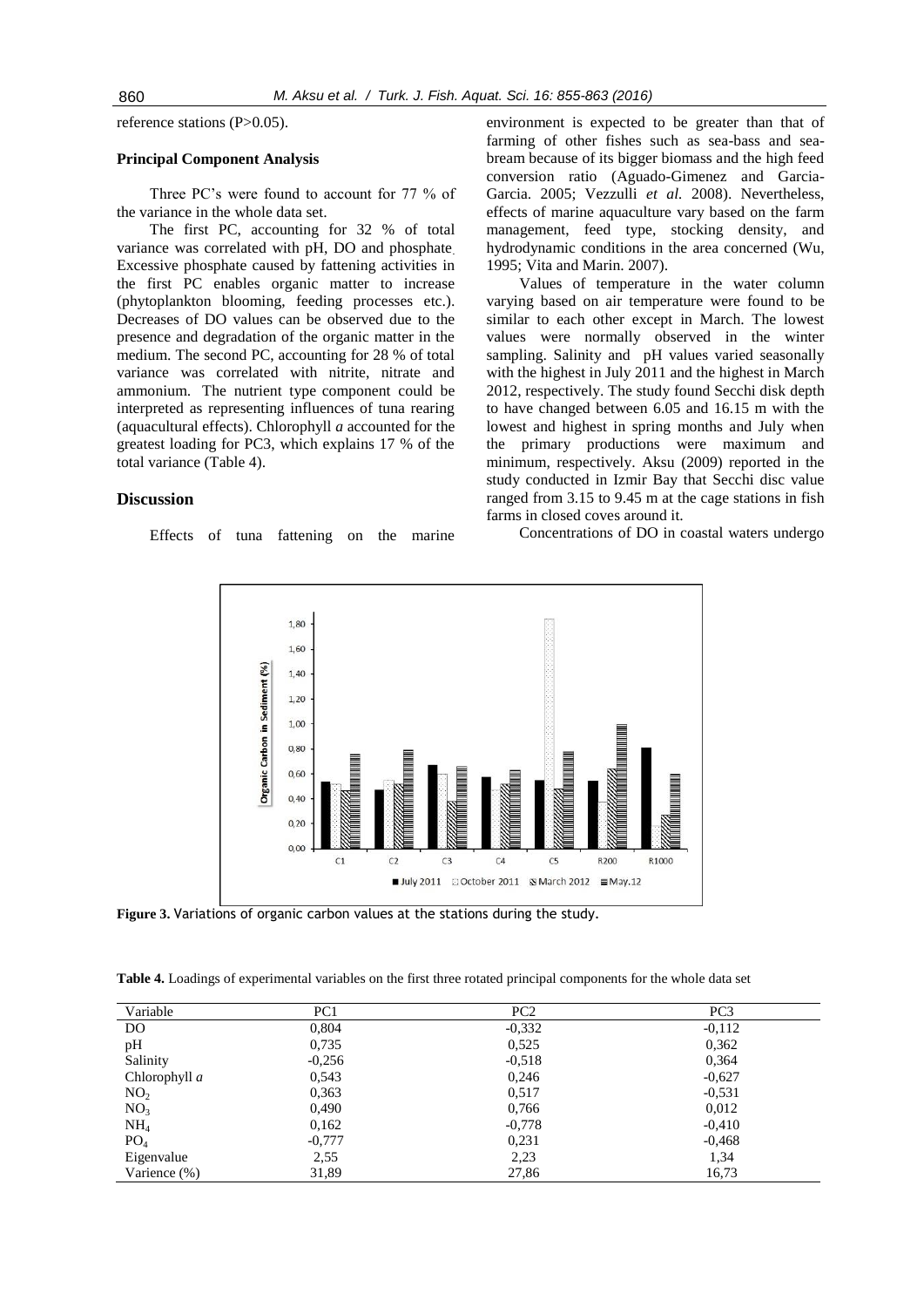reference stations (P>0.05).

# **Principal Component Analysis**

Three PC's were found to account for 77 % of the variance in the whole data set.

The first PC, accounting for 32 % of total variance was correlated with pH, DO and phosphate. Excessive phosphate caused by fattening activities in the first PC enables organic matter to increase (phytoplankton blooming, feeding processes etc.). Decreases of DO values can be observed due to the presence and degradation of the organic matter in the medium. The second PC, accounting for 28 % of total variance was correlated with nitrite, nitrate and ammonium. The nutrient type component could be interpreted as representing influences of tuna rearing (aquacultural effects). Chlorophyll *a* accounted for the greatest loading for PC3, which explains 17 % of the total variance (Table 4).

# **Discussion**

Effects of tuna fattening on the marine

environment is expected to be greater than that of farming of other fishes such as sea-bass and seabream because of its bigger biomass and the high feed conversion ratio (Aguado-Gimenez and Garcia-Garcia. 2005; Vezzulli *et al.* 2008). Nevertheless, effects of marine aquaculture vary based on the farm management, feed type, stocking density, and hydrodynamic conditions in the area concerned (Wu, 1995; Vita and Marin. 2007).

Values of temperature in the water column varying based on air temperature were found to be similar to each other except in March. The lowest values were normally observed in the winter sampling. Salinity and pH values varied seasonally with the highest in July 2011 and the highest in March 2012, respectively. The study found Secchi disk depth to have changed between 6.05 and 16.15 m with the lowest and highest in spring months and July when the primary productions were maximum and minimum, respectively. Aksu (2009) reported in the study conducted in Izmir Bay that Secchi disc value ranged from 3.15 to 9.45 m at the cage stations in fish farms in closed coves around it.

Concentrations of DO in coastal waters undergo



**Figure 3.** Variations of organic carbon values at the stations during the study.

**Table 4.** Loadings of experimental variables on the first three rotated principal components for the whole data set

| Variable        | PC <sub>1</sub> | PC <sub>2</sub> | PC <sub>3</sub> |
|-----------------|-----------------|-----------------|-----------------|
| DO.             | 0,804           | $-0,332$        | $-0,112$        |
| pH              | 0,735           | 0,525           | 0,362           |
| Salinity        | $-0,256$        | $-0.518$        | 0,364           |
| Chlorophyll a   | 0,543           | 0,246           | $-0.627$        |
| NO <sub>2</sub> | 0,363           | 0,517           | $-0.531$        |
| NO <sub>3</sub> | 0,490           | 0,766           | 0,012           |
| NH <sub>4</sub> | 0,162           | $-0,778$        | $-0.410$        |
| PO <sub>4</sub> | $-0,777$        | 0,231           | $-0,468$        |
| Eigenvalue      | 2,55            | 2,23            | 1,34            |
| Varience (%)    | 31,89           | 27,86           | 16,73           |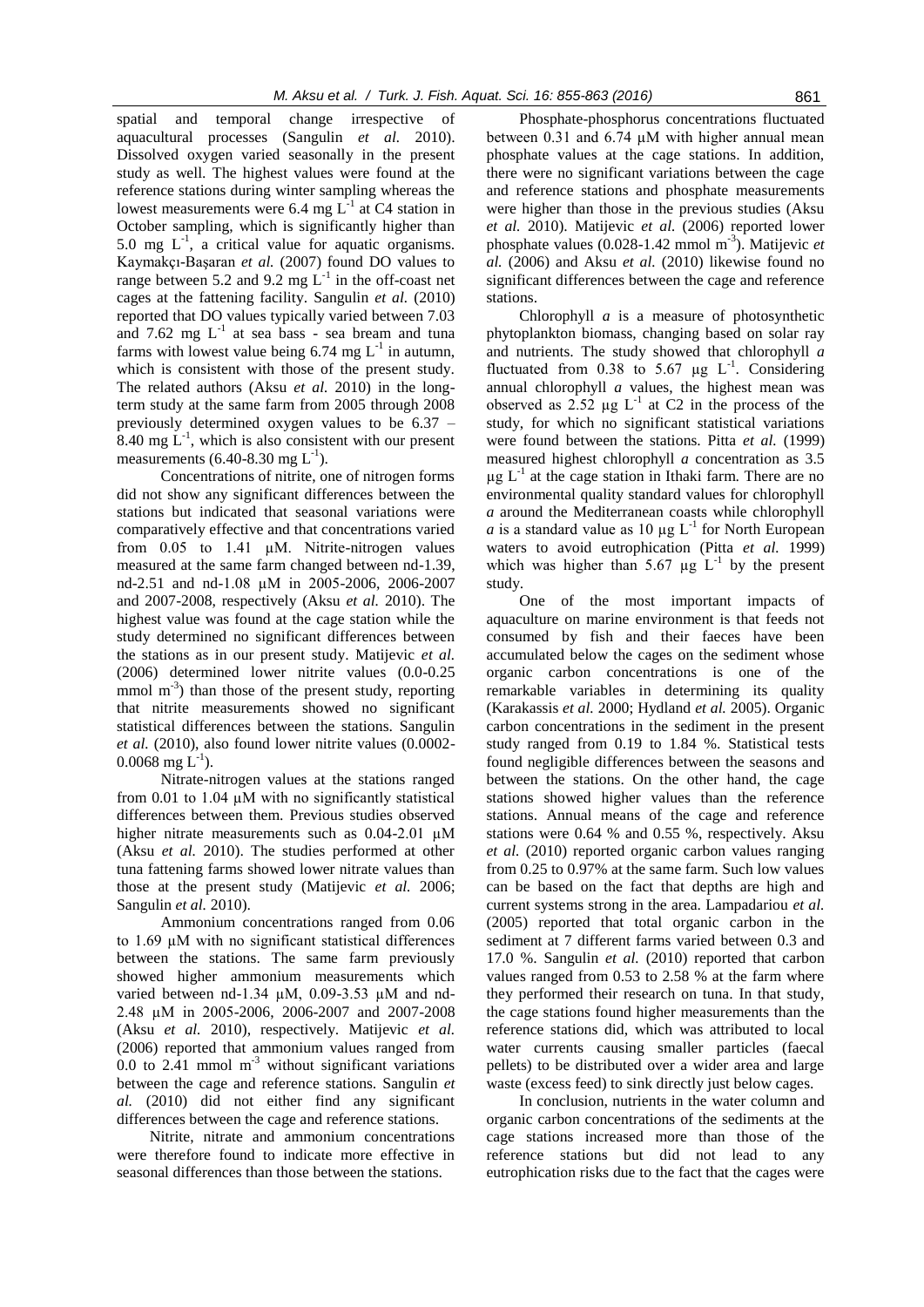spatial and temporal change irrespective of aquacultural processes (Sangulin *et al.* 2010). Dissolved oxygen varied seasonally in the present study as well. The highest values were found at the reference stations during winter sampling whereas the lowest measurements were 6.4 mg  $L^{-1}$  at C4 station in October sampling, which is significantly higher than 5.0 mg  $L^{-1}$ , a critical value for aquatic organisms. Kaymakçı-Başaran *et al.* (2007) found DO values to range between 5.2 and 9.2 mg  $L^{-1}$  in the off-coast net cages at the fattening facility. Sangulin *et al.* (2010) reported that DO values typically varied between 7.03 and  $7.62 \text{ mg } L^{-1}$  at sea bass - sea bream and tuna farms with lowest value being  $6.74 \text{ mg } L^{-1}$  in autumn, which is consistent with those of the present study. The related authors (Aksu *et al.* 2010) in the longterm study at the same farm from 2005 through 2008 previously determined oxygen values to be 6.37 –  $8.40 \text{ mg L}^{-1}$ , which is also consistent with our present measurements  $(6.40-8.30 \text{ mg L}^{-1})$ .

Concentrations of nitrite, one of nitrogen forms did not show any significant differences between the stations but indicated that seasonal variations were comparatively effective and that concentrations varied from 0.05 to 1.41 µM. Nitrite-nitrogen values measured at the same farm changed between nd-1.39, nd-2.51 and nd-1.08 µM in 2005-2006, 2006-2007 and 2007-2008, respectively (Aksu *et al.* 2010). The highest value was found at the cage station while the study determined no significant differences between the stations as in our present study. Matijevic *et al.* (2006) determined lower nitrite values (0.0-0.25 mmol  $m<sup>-3</sup>$ ) than those of the present study, reporting that nitrite measurements showed no significant statistical differences between the stations. Sangulin *et al.* (2010), also found lower nitrite values (0.0002-  $0.0068 \text{ mg L}^{-1}$ ).

Nitrate-nitrogen values at the stations ranged from 0.01 to 1.04 µM with no significantly statistical differences between them. Previous studies observed higher nitrate measurements such as 0.04-2.01  $\mu$ M (Aksu *et al.* 2010). The studies performed at other tuna fattening farms showed lower nitrate values than those at the present study (Matijevic *et al.* 2006; Sangulin *et al.* 2010).

Ammonium concentrations ranged from 0.06 to 1.69 µM with no significant statistical differences between the stations. The same farm previously showed higher ammonium measurements which varied between nd-1.34  $\mu$ M, 0.09-3.53  $\mu$ M and nd-2.48 µM in 2005-2006, 2006-2007 and 2007-2008 (Aksu *et al.* 2010), respectively. Matijevic *et al.* (2006) reported that ammonium values ranged from 0.0 to 2.41 mmol  $m<sup>-3</sup>$  without significant variations between the cage and reference stations. Sangulin *et al.* (2010) did not either find any significant differences between the cage and reference stations.

Nitrite, nitrate and ammonium concentrations were therefore found to indicate more effective in seasonal differences than those between the stations.

Phosphate-phosphorus concentrations fluctuated between 0.31 and 6.74  $\mu$ M with higher annual mean phosphate values at the cage stations. In addition, there were no significant variations between the cage and reference stations and phosphate measurements were higher than those in the previous studies (Aksu *et al.* 2010). Matijevic *et al.* (2006) reported lower phosphate values (0.028-1.42 mmol m-3 ). Matijevic *et al.* (2006) and Aksu *et al.* (2010) likewise found no significant differences between the cage and reference stations.

Chlorophyll *a* is a measure of photosynthetic phytoplankton biomass, changing based on solar ray and nutrients. The study showed that chlorophyll *a* fluctuated from 0.38 to 5.67  $\mu$ g L<sup>-1</sup>. Considering annual chlorophyll *a* values, the highest mean was observed as  $2.52 \mu g L^{-1}$  at C2 in the process of the study, for which no significant statistical variations were found between the stations. Pitta *et al.* (1999) measured highest chlorophyll *a* concentration as 3.5  $\mu$ g L<sup>-1</sup> at the cage station in Ithaki farm. There are no environmental quality standard values for chlorophyll *a* around the Mediterranean coasts while chlorophyll a is a standard value as 10  $\mu$ g L<sup>-1</sup> for North European waters to avoid eutrophication (Pitta *et al.* 1999) which was higher than 5.67  $\mu$ g L<sup>-1</sup> by the present study.

One of the most important impacts of aquaculture on marine environment is that feeds not consumed by fish and their faeces have been accumulated below the cages on the sediment whose organic carbon concentrations is one of the remarkable variables in determining its quality (Karakassis *et al.* 2000; Hydland *et al.* 2005). Organic carbon concentrations in the sediment in the present study ranged from 0.19 to 1.84 %. Statistical tests found negligible differences between the seasons and between the stations. On the other hand, the cage stations showed higher values than the reference stations. Annual means of the cage and reference stations were 0.64 % and 0.55 %, respectively. Aksu *et al.* (2010) reported organic carbon values ranging from 0.25 to 0.97% at the same farm. Such low values can be based on the fact that depths are high and current systems strong in the area. Lampadariou *et al.* (2005) reported that total organic carbon in the sediment at 7 different farms varied between 0.3 and 17.0 %. Sangulin *et al.* (2010) reported that carbon values ranged from 0.53 to 2.58 % at the farm where they performed their research on tuna. In that study, the cage stations found higher measurements than the reference stations did, which was attributed to local water currents causing smaller particles (faecal pellets) to be distributed over a wider area and large waste (excess feed) to sink directly just below cages.

In conclusion, nutrients in the water column and organic carbon concentrations of the sediments at the cage stations increased more than those of the reference stations but did not lead to any eutrophication risks due to the fact that the cages were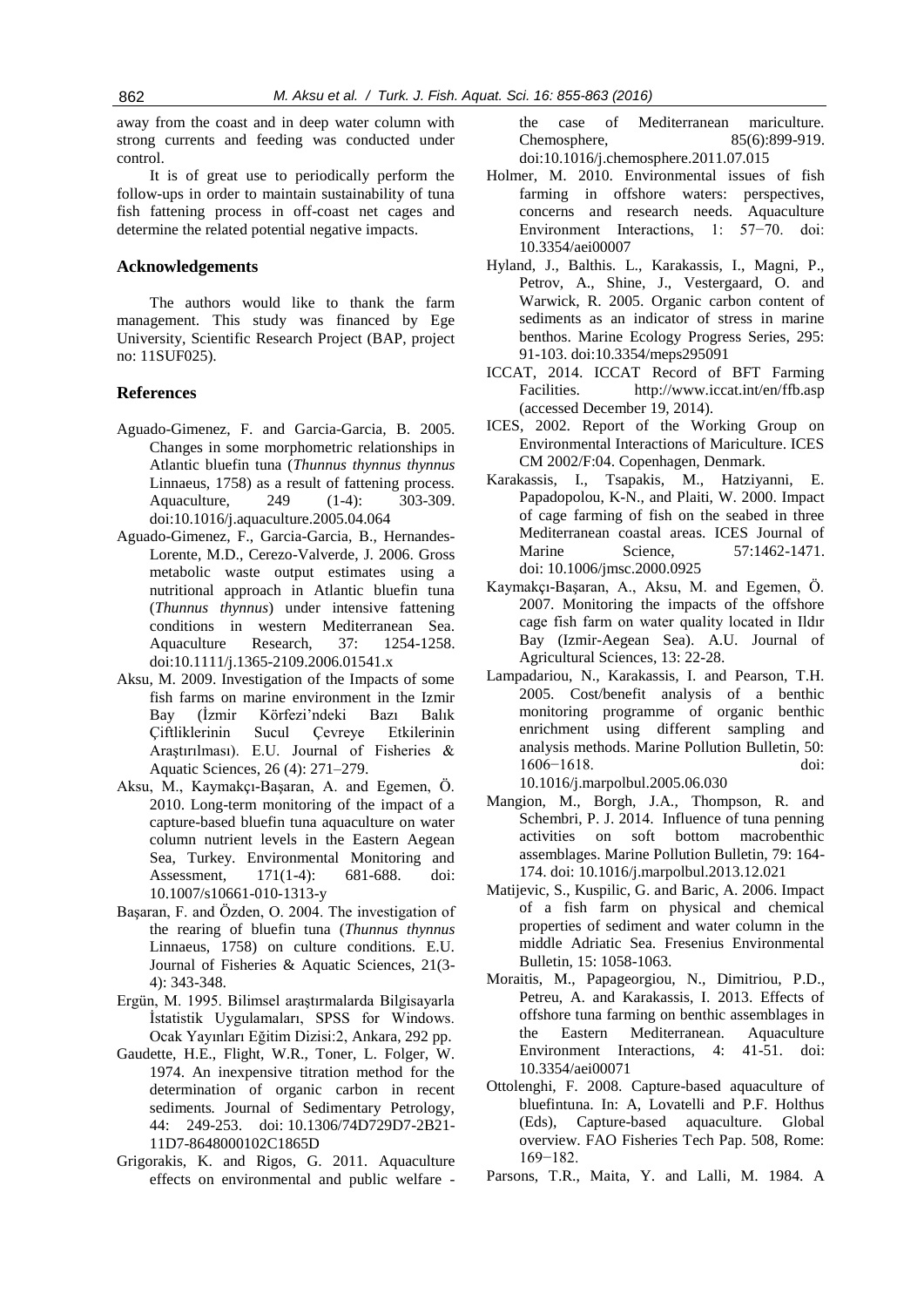away from the coast and in deep water column with strong currents and feeding was conducted under control.

It is of great use to periodically perform the follow-ups in order to maintain sustainability of tuna fish fattening process in off-coast net cages and determine the related potential negative impacts.

# **Acknowledgements**

The authors would like to thank the farm management. This study was financed by Ege University, Scientific Research Project (BAP, project no: 11SUF025).

# **References**

- Aguado-Gimenez, F. and Garcia-Garcia, B. 2005. Changes in some morphometric relationships in Atlantic bluefin tuna (*Thunnus thynnus thynnus* Linnaeus, 1758) as a result of fattening process. Aquaculture, 249 (1-4): 303-309. [doi:10.1016/j.aquaculture.2005.04.064](http://dx.doi.org/10.1016/j.aquaculture.2005.04.064)
- Aguado-Gimenez, F., Garcia-Garcia, B., Hernandes-Lorente, M.D., Cerezo-Valverde, J. 2006. Gross metabolic waste output estimates using a nutritional approach in Atlantic bluefin tuna (*Thunnus thynnus*) under intensive fattening conditions in western Mediterranean Sea. Aquaculture Research, 37: 1254-1258. doi:10.1111/j.1365-2109.2006.01541.x
- Aksu, M. 2009. Investigation of the Impacts of some fish farms on marine environment in the Izmir Bay (İzmir Körfezi'ndeki Bazı Balık Çiftliklerinin Sucul Çevreye Etkilerinin Araştırılması). E.U. Journal of Fisheries & Aquatic Sciences, 26 (4): 271–279.
- Aksu, M., Kaymakçı-Başaran, A. and Egemen, Ö. 2010. Long-term monitoring of the impact of a capture-based bluefin tuna aquaculture on water column nutrient levels in the Eastern Aegean Sea, Turkey. Environmental Monitoring and Assessment, 171(1-4): 681-688. doi: 10.1007/s10661-010-1313-y
- Başaran, F. and Özden, O. 2004. The investigation of the rearing of bluefin tuna (*Thunnus thynnus*  Linnaeus, 1758) on culture conditions. E.U. Journal of Fisheries & Aquatic Sciences, 21(3- 4): 343-348.
- Ergün, M. 1995. Bilimsel araştırmalarda Bilgisayarla İstatistik Uygulamaları, SPSS for Windows. Ocak Yayınları Eğitim Dizisi:2, Ankara, 292 pp.
- Gaudette, H.E., Flight, W.R., Toner, L. Folger, W. 1974. An inexpensive titration method for the determination of organic carbon in recent sediments*.* Journal of Sedimentary Petrology, 44: 249-253. doi: 10.1306/74D729D7-2B21- 11D7-8648000102C1865D
- Grigorakis, K. and Rigos, G. 2011. Aquaculture effects on environmental and public welfare -

the case of Mediterranean mariculture. Chemosphere, 85(6):899-919. doi:10.1016/j.chemosphere.2011.07.015

- Holmer, M. 2010. Environmental issues of fish farming in offshore waters: perspectives, concerns and research needs. Aquaculture Environment Interactions, 1: 57−70. doi: 10.3354/aei00007
- Hyland, J., Balthis. L., Karakassis, I., Magni, P., Petrov, A., Shine, J., Vestergaard, O. and Warwick, R. 2005. Organic carbon content of sediments as an indicator of stress in marine benthos. Marine Ecology Progress Series, 295: 91-103. doi:10.3354/meps295091
- ICCAT, 2014. ICCAT Record of BFT Farming Facilities. <http://www.iccat.int/en/ffb.asp> (accessed December 19, 2014).
- ICES, 2002. Report of the Working Group on Environmental Interactions of Mariculture. ICES CM 2002/F:04. Copenhagen, Denmark.
- Karakassis, I., Tsapakis, M., Hatziyanni, E. Papadopolou, K-N., and Plaiti, W. 2000. Impact of cage farming of fish on the seabed in three Mediterranean coastal areas. ICES Journal of Marine Science, 57:1462-1471. doi: 10.1006/jmsc.2000.0925
- Kaymakçı-Başaran, A., Aksu, M. and Egemen, Ö. 2007. Monitoring the impacts of the offshore cage fish farm on water quality located in Ildır Bay (Izmir-Aegean Sea). A.U. Journal of Agricultural Sciences, 13: 22-28.
- Lampadariou, N., Karakassis, I. and Pearson, T.H. 2005. Cost/benefit analysis of a benthic monitoring programme of organic benthic enrichment using different sampling and analysis methods. Marine Pollution Bulletin, 50: 1606−1618. [doi:](http://dx.doi.org/10.1016/j.marpolbul.2005.06.030)  [10.1016/j.marpolbul.2005.06.030](http://dx.doi.org/10.1016/j.marpolbul.2005.06.030)
- Mangion, M., Borgh, J.A., Thompson, R. and Schembri, P. J. 2014. Influence of tuna penning activities on soft bottom macrobenthic assemblages. Marine Pollution Bulletin, 79: 164- 174[. doi: 10.1016/j.marpolbul.2013.12.021](http://dx.doi.org/10.1016/j.marpolbul.2013.12.021)
- Matijevic, S., Kuspilic, G. and Baric, A. 2006. Impact of a fish farm on physical and chemical properties of sediment and water column in the middle Adriatic Sea. Fresenius Environmental Bulletin, 15: 1058-1063.
- Moraitis, M., Papageorgiou, N., Dimitriou, P.D., Petreu, A. and Karakassis, I. 2013. Effects of offshore tuna farming on benthic assemblages in the Eastern Mediterranean. Aquaculture Environment Interactions, 4: 41-51. doi: 10.3354/aei00071
- Ottolenghi, F. 2008. Capture-based aquaculture of bluefintuna. In: A, Lovatelli and P.F. Holthus (Eds), Capture-based aquaculture. Global overview. FAO Fisheries Tech Pap. 508, Rome: 169−182.
- Parsons, T.R., Maita, Y. and Lalli, M. 1984. A